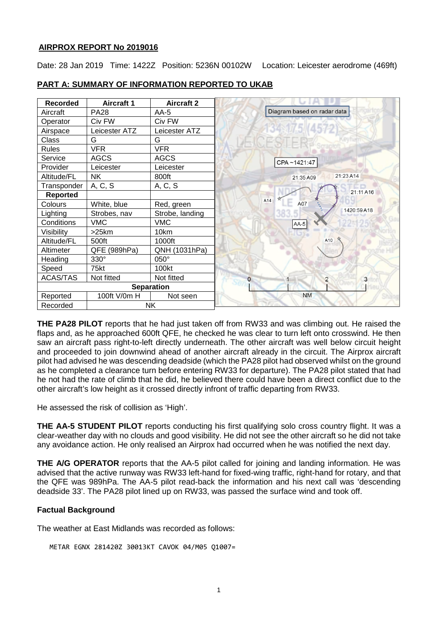### **AIRPROX REPORT No 20190[16](#page-1-0)**

Date: 28 Jan 2019 Time: 1422Z Position: 5236N 00102W Location: Leicester aerodrome (469ft)

| <b>Recorded</b> | <b>Aircraft 1</b> | <b>Aircraft 2</b> |                                 |
|-----------------|-------------------|-------------------|---------------------------------|
| Aircraft        | <b>PA28</b>       | AA-5              | Diagram based on radar data     |
| Operator        | Civ FW            | Civ FW            |                                 |
| Airspace        | Leicester ATZ     | Leicester ATZ     | 134 175 (4572)                  |
| Class           | G                 | G                 |                                 |
| <b>Rules</b>    | <b>VFR</b>        | <b>VFR</b>        |                                 |
| Service         | <b>AGCS</b>       | <b>AGCS</b>       | CPA~1421:47                     |
| Provider        | Leicester         | Leicester         |                                 |
| Altitude/FL     | <b>NK</b>         | 800ft             | 21:23 A14<br>21:35 A09          |
| Transponder     | A, C, S           | A, C, S           | 21:11 A16                       |
| <b>Reported</b> |                   |                   |                                 |
| Colours         | White, blue       | Red, green        | A14<br>A07                      |
| Lighting        | Strobes, nav      | Strobe, landing   | 1420:59 A18                     |
| Conditions      | <b>VMC</b>        | <b>VMC</b>        | $AA-5$                          |
| Visibility      | >25km             | 10km              |                                 |
| Altitude/FL     | 500ft             | 1000ft            | A10                             |
| Altimeter       | QFE (989hPa)      | QNH (1031hPa)     |                                 |
| Heading         | 330°              | 050°              |                                 |
| Speed           | 75kt              | 100kt             |                                 |
| <b>ACAS/TAS</b> | Not fitted        | Not fitted        | $\overline{2}$<br>3<br>$\Omega$ |
|                 |                   | <b>Separation</b> |                                 |
| Reported        | 100ft V/0m H      | Not seen          | <b>NM</b>                       |
| Recorded        | <b>NK</b>         |                   |                                 |

## **PART A: SUMMARY OF INFORMATION REPORTED TO UKAB**

**THE PA28 PILOT** reports that he had just taken off from RW33 and was climbing out. He raised the flaps and, as he approached 600ft QFE, he checked he was clear to turn left onto crosswind. He then saw an aircraft pass right-to-left directly underneath. The other aircraft was well below circuit height and proceeded to join downwind ahead of another aircraft already in the circuit. The Airprox aircraft pilot had advised he was descending deadside (which the PA28 pilot had observed whilst on the ground as he completed a clearance turn before entering RW33 for departure). The PA28 pilot stated that had he not had the rate of climb that he did, he believed there could have been a direct conflict due to the other aircraft's low height as it crossed directly infront of traffic departing from RW33.

He assessed the risk of collision as 'High'.

**THE AA-5 STUDENT PILOT** reports conducting his first qualifying solo cross country flight. It was a clear-weather day with no clouds and good visibility. He did not see the other aircraft so he did not take any avoidance action. He only realised an Airprox had occurred when he was notified the next day.

**THE A/G OPERATOR** reports that the AA-5 pilot called for joining and landing information. He was advised that the active runway was RW33 left-hand for fixed-wing traffic, right-hand for rotary, and that the QFE was 989hPa. The AA-5 pilot read-back the information and his next call was 'descending deadside 33'. The PA28 pilot lined up on RW33, was passed the surface wind and took off.

## **Factual Background**

The weather at East Midlands was recorded as follows:

METAR EGNX 281420Z 30013KT CAVOK 04/M05 Q1007=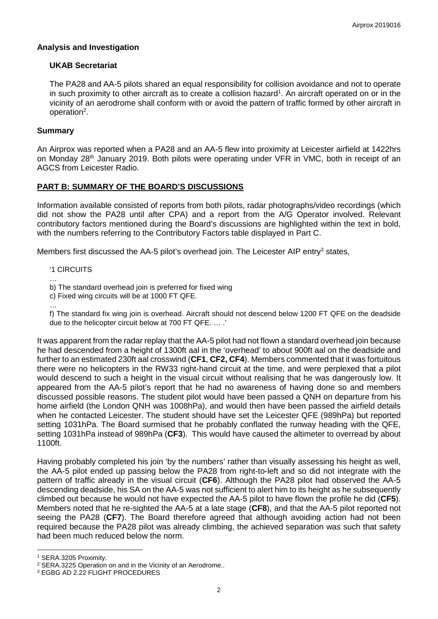#### **Analysis and Investigation**

### **UKAB Secretariat**

The PA28 and AA-5 pilots shared an equal responsibility for collision avoidance and not to operate in such proximity to other aircraft as to create a collision hazard<sup>1</sup>. An aircraft operated on or in the vicinity of an aerodrome shall conform with or avoid the pattern of traffic formed by other aircraft in operation<sup>2</sup>.

#### **Summary**

An Airprox was reported when a PA28 and an AA-5 flew into proximity at Leicester airfield at 1422hrs on Monday 28<sup>th</sup> January 2019. Both pilots were operating under VFR in VMC, both in receipt of an AGCS from Leicester Radio.

#### **PART B: SUMMARY OF THE BOARD'S DISCUSSIONS**

Information available consisted of reports from both pilots, radar photographs/video recordings (which did not show the PA28 until after CPA) and a report from the A/G Operator involved. Relevant contributory factors mentioned during the Board's discussions are highlighted within the text in bold, with the numbers referring to the Contributory Factors table displayed in Part C.

Members first discussed the AA-5 pilot's overhead join. The Leicester AIP entry $3$  states,

'1 CIRCUITS

…

b) The standard overhead join is preferred for fixed wing

c) Fixed wing circuits will be at 1000 FT QFE.

…

f) The standard fix wing join is overhead. Aircraft should not descend below 1200 FT QFE on the deadside due to the helicopter circuit below at 700 FT QFE. … .'

It was apparent from the radar replay that the AA-5 pilot had not flown a standard overhead join because he had descended from a height of 1300ft aal in the 'overhead' to about 900ft aal on the deadside and further to an estimated 230ft aal crosswind (**CF1**, **CF2, CF4**). Members commented that it was fortuitous there were no helicopters in the RW33 right-hand circuit at the time, and were perplexed that a pilot would descend to such a height in the visual circuit without realising that he was dangerously low. It appeared from the AA-5 pilot's report that he had no awareness of having done so and members discussed possible reasons. The student pilot would have been passed a QNH on departure from his home airfield (the London QNH was 1008hPa), and would then have been passed the airfield details when he contacted Leicester. The student should have set the Leicester QFE (989hPa) but reported setting 1031hPa. The Board surmised that he probably conflated the runway heading with the QFE, setting 1031hPa instead of 989hPa (**CF3**). This would have caused the altimeter to overread by about 1100ft.

Having probably completed his join 'by the numbers' rather than visually assessing his height as well, the AA-5 pilot ended up passing below the PA28 from right-to-left and so did not integrate with the pattern of traffic already in the visual circuit (**CF6**). Although the PA28 pilot had observed the AA-5 descending deadside, his SA on the AA-5 was not sufficient to alert him to its height as he subsequently climbed out because he would not have expected the AA-5 pilot to have flown the profile he did (**CF5**). Members noted that he re-sighted the AA-5 at a late stage (**CF8**), and that the AA-5 pilot reported not seeing the PA28 (**CF7**). The Board therefore agreed that although avoiding action had not been required because the PA28 pilot was already climbing, the achieved separation was such that safety had been much reduced below the norm.

 $\overline{\phantom{a}}$ 

<span id="page-1-0"></span><sup>1</sup> SERA.3205 Proximity.

<sup>2</sup> SERA.3225 Operation on and in the Vicinity of an Aerodrome..

<sup>3</sup> EGBG AD 2.22 FLIGHT PROCEDURES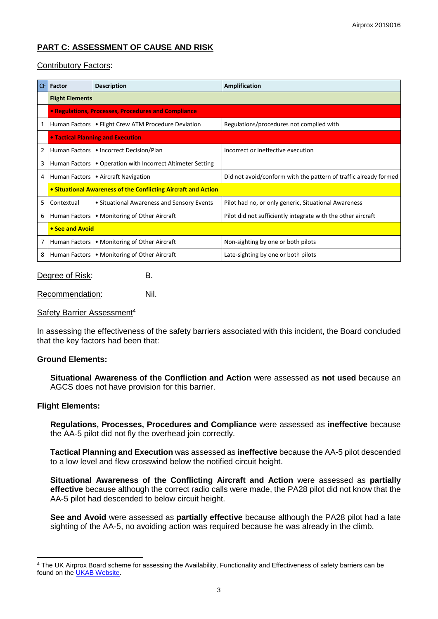# **PART C: ASSESSMENT OF CAUSE AND RISK**

## Contributory Factors:

| CF | Factor                                                         | <b>Description</b>                                           | Amplification                                                    |  |  |
|----|----------------------------------------------------------------|--------------------------------------------------------------|------------------------------------------------------------------|--|--|
|    | <b>Flight Elements</b>                                         |                                                              |                                                                  |  |  |
|    | • Regulations, Processes, Procedures and Compliance            |                                                              |                                                                  |  |  |
| 1  |                                                                | Human Factors   • Flight Crew ATM Procedure Deviation        | Regulations/procedures not complied with                         |  |  |
|    |                                                                | <b>• Tactical Planning and Execution</b>                     |                                                                  |  |  |
| 2  |                                                                | Human Factors   • Incorrect Decision/Plan                    | Incorrect or ineffective execution                               |  |  |
| 3  |                                                                | Human Factors   • Operation with Incorrect Altimeter Setting |                                                                  |  |  |
| 4  |                                                                | Human Factors   • Aircraft Navigation                        | Did not avoid/conform with the pattern of traffic already formed |  |  |
|    | • Situational Awareness of the Conflicting Aircraft and Action |                                                              |                                                                  |  |  |
| 5  | Contextual                                                     | • Situational Awareness and Sensory Events                   | Pilot had no, or only generic, Situational Awareness             |  |  |
| 6  | Human Factors                                                  | • Monitoring of Other Aircraft                               | Pilot did not sufficiently integrate with the other aircraft     |  |  |
|    | • See and Avoid                                                |                                                              |                                                                  |  |  |
| 7  |                                                                | Human Factors   • Monitoring of Other Aircraft               | Non-sighting by one or both pilots                               |  |  |
| 8  |                                                                | Human Factors   • Monitoring of Other Aircraft               | Late-sighting by one or both pilots                              |  |  |

Degree of Risk: B.

Recommendation: Nil.

### Safety Barrier Assessment4

In assessing the effectiveness of the safety barriers associated with this incident, the Board concluded that the key factors had been that:

#### **Ground Elements:**

**Situational Awareness of the Confliction and Action** were assessed as **not used** because an AGCS does not have provision for this barrier.

## **Flight Elements:**

l

**Regulations, Processes, Procedures and Compliance** were assessed as **ineffective** because the AA-5 pilot did not fly the overhead join correctly.

**Tactical Planning and Execution** was assessed as **ineffective** because the AA-5 pilot descended to a low level and flew crosswind below the notified circuit height.

**Situational Awareness of the Conflicting Aircraft and Action** were assessed as **partially effective** because although the correct radio calls were made, the PA28 pilot did not know that the AA-5 pilot had descended to below circuit height.

**See and Avoid** were assessed as **partially effective** because although the PA28 pilot had a late sighting of the AA-5, no avoiding action was required because he was already in the climb.

<sup>4</sup> The UK Airprox Board scheme for assessing the Availability, Functionality and Effectiveness of safety barriers can be found on the [UKAB Website.](http://www.airproxboard.org.uk/Learn-more/Airprox-Barrier-Assessment/)